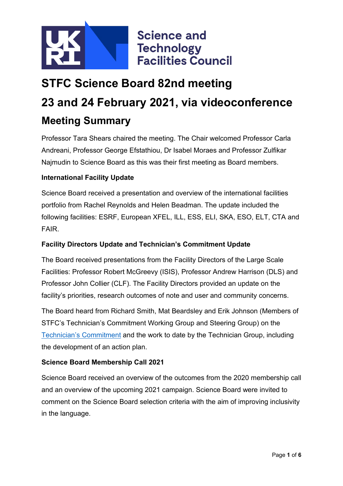

# **STFC Science Board 82nd meeting 23 and 24 February 2021, via videoconference Meeting Summary**

Professor Tara Shears chaired the meeting. The Chair welcomed Professor Carla Andreani, Professor George Efstathiou, Dr Isabel Moraes and Professor Zulfikar Najmudin to Science Board as this was their first meeting as Board members.

#### **International Facility Update**

Science Board received a presentation and overview of the international facilities portfolio from Rachel Reynolds and Helen Beadman. The update included the following facilities: ESRF, European XFEL, ILL, ESS, ELI, SKA, ESO, ELT, CTA and FAIR.

#### **Facility Directors Update and Technician's Commitment Update**

The Board received presentations from the Facility Directors of the Large Scale Facilities: Professor Robert McGreevy (ISIS), Professor Andrew Harrison (DLS) and Professor John Collier (CLF). The Facility Directors provided an update on the facility's priorities, research outcomes of note and user and community concerns.

The Board heard from Richard Smith, Mat Beardsley and Erik Johnson (Members of STFC's Technician's Commitment Working Group and Steering Group) on the [Technician's Commitment](https://stfc.ukri.org/skills/technician-commitment/) and the work to date by the Technician Group, including the development of an action plan.

#### **Science Board Membership Call 2021**

Science Board received an overview of the outcomes from the 2020 membership call and an overview of the upcoming 2021 campaign. Science Board were invited to comment on the Science Board selection criteria with the aim of improving inclusivity in the language.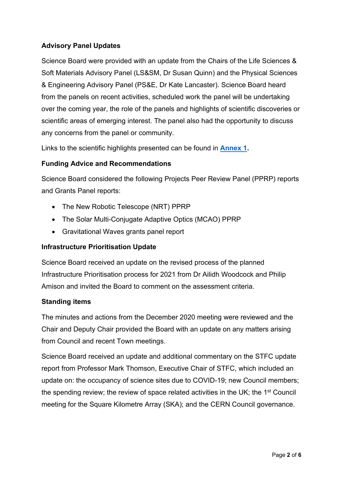#### **Advisory Panel Updates**

Science Board were provided with an update from the Chairs of the Life Sciences & Soft Materials Advisory Panel (LS&SM, Dr Susan Quinn) and the Physical Sciences & Engineering Advisory Panel (PS&E, Dr Kate Lancaster). Science Board heard from the panels on recent activities, scheduled work the panel will be undertaking over the coming year, the role of the panels and highlights of scientific discoveries or scientific areas of emerging interest. The panel also had the opportunity to discuss any concerns from the panel or community.

Links to the scientific highlights presented can be found in **[Annex 1.](#page-3-0)** 

#### **Funding Advice and Recommendations**

Science Board considered the following Projects Peer Review Panel (PPRP) reports and Grants Panel reports:

- The New Robotic Telescope (NRT) PPRP
- The Solar Multi-Conjugate Adaptive Optics (MCAO) PPRP
- Gravitational Waves grants panel report

#### **Infrastructure Prioritisation Update**

Science Board received an update on the revised process of the planned Infrastructure Prioritisation process for 2021 from Dr Ailidh Woodcock and Philip Amison and invited the Board to comment on the assessment criteria.

#### **Standing items**

The minutes and actions from the December 2020 meeting were reviewed and the Chair and Deputy Chair provided the Board with an update on any matters arising from Council and recent Town meetings.

Science Board received an update and additional commentary on the STFC update report from Professor Mark Thomson, Executive Chair of STFC, which included an update on: the occupancy of science sites due to COVID-19; new Council members; the spending review; the review of space related activities in the UK; the 1<sup>st</sup> Council meeting for the Square Kilometre Array (SKA); and the CERN Council governance.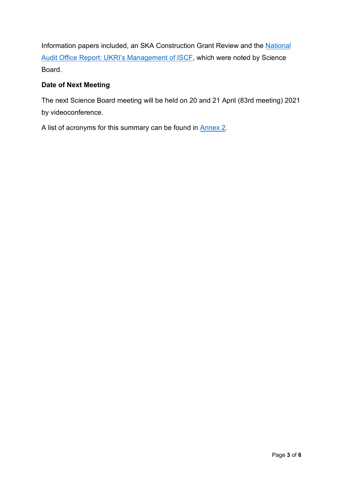Information papers included, an SKA Construction Grant Review and the National [Audit Office Report: UKRI's Management of ISCF,](https://www.nao.org.uk/report/the-ukris-management-of-the-industrial-strategy-challenge-fund/?utm_campaign=the-ukris-management-of-the-industrial-strategy-challenge-fund&utm_content=&utm_medium=email&utm_name=&utm_source=govdelivery&utm_term) which were noted by Science Board.

#### **Date of Next Meeting**

The next Science Board meeting will be held on 20 and 21 April (83rd meeting) 2021 by videoconference.

A list of acronyms for this summary can be found in [Annex 2.](#page-5-0)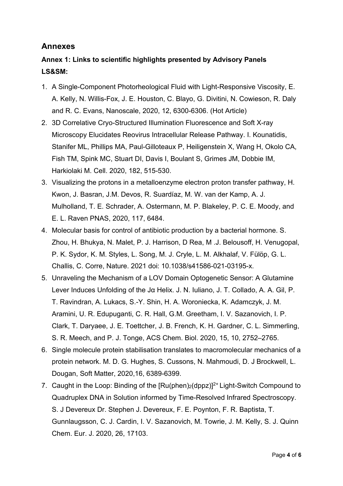### **Annexes**

## <span id="page-3-0"></span>**Annex 1: Links to scientific highlights presented by Advisory Panels LS&SM:**

- 1. A Single-Component Photorheological Fluid with Light-Responsive Viscosity, E. A. Kelly, N. Willis-Fox, J. E. Houston, C. Blayo, G. Divitini, N. Cowieson, R. Daly and R. C. Evans, Nanoscale, 2020, 12, 6300-6306. (Hot Article)
- 2. 3D Correlative Cryo-Structured Illumination Fluorescence and Soft X-ray Microscopy Elucidates Reovirus Intracellular Release Pathway. I. Kounatidis, Stanifer ML, Phillips MA, Paul-Gilloteaux P, Heiligenstein X, Wang H, Okolo CA, Fish TM, Spink MC, Stuart DI, Davis I, Boulant S, Grimes JM, Dobbie IM, Harkiolaki M. Cell. 2020, 182, 515-530.
- 3. Visualizing the protons in a metalloenzyme electron proton transfer pathway, H. Kwon, J. Basran, J.M. Devos, R. Suardíaz, M. W. van der Kamp, A. J. Mulholland, T. E. Schrader, A. Ostermann, M. P. Blakeley, P. C. E. Moody, and E. L. Raven PNAS, 2020, 117, 6484.
- 4. Molecular basis for control of antibiotic production by a bacterial hormone. S. Zhou, H. Bhukya, N. Malet, P. J. Harrison, D Rea, M .J. Belousoff, H. Venugopal, P. K. Sydor, K. M. Styles, L. Song, M. J. Cryle, L. M. Alkhalaf, V. Fülöp, G. L. Challis, C. Corre, Nature. 2021 doi: 10.1038/s41586-021-03195-x.
- 5. Unraveling the Mechanism of a LOV Domain Optogenetic Sensor: A Glutamine Lever Induces Unfolding of the Jα Helix. J. N. Iuliano, J. T. Collado, A. A. Gil, P. T. Ravindran, A. Lukacs, S.-Y. Shin, H. A. Woroniecka, K. Adamczyk, J. M. Aramini, U. R. Edupuganti, C. R. Hall, G.M. Greetham, I. V. Sazanovich, I. P. Clark, T. Daryaee, J. E. Toettcher, J. B. French, K. H. Gardner, C. L. Simmerling, S. R. Meech, and P. J. Tonge, ACS Chem. Biol. 2020, 15, 10, 2752–2765.
- 6. Single molecule protein stabilisation translates to macromolecular mechanics of a protein network. M. D. G. Hughes, S. Cussons, N. Mahmoudi, D. J Brockwell, L. Dougan, Soft Matter, 2020,16, 6389-6399.
- 7. Caught in the Loop: Binding of the  $[Ru(phen)_2(dppz)]^{2+}$  Light-Switch Compound to Quadruplex DNA in Solution informed by Time-Resolved Infrared Spectroscopy. S. J Devereux Dr. Stephen J. Devereux, F. E. Poynton, F. R. Baptista, T. Gunnlaugsson, C. J. Cardin, I. V. Sazanovich, M. Towrie, J. M. Kelly, S. J. Quinn Chem. Eur. J. 2020, 26, 17103.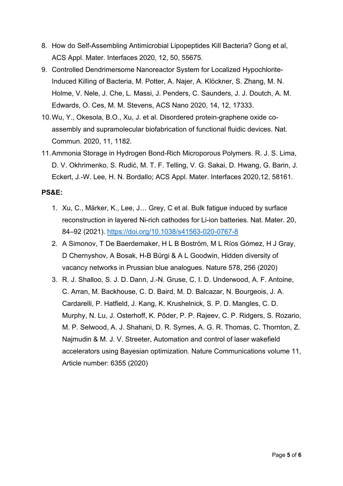- 8. How do Self-Assembling Antimicrobial Lipopeptides Kill Bacteria? Gong et al, ACS Appl. Mater. Interfaces 2020, 12, 50, 55675.
- 9. Controlled Dendrimersome Nanoreactor System for Localized Hypochlorite-Induced Killing of Bacteria, M. Potter, A. Najer, A. Klöckner, S. Zhang, M. N. Holme, V. Nele, J. Che, L. Massi, J. Penders, C. Saunders, J. J. Doutch, A. M. Edwards, O. Ces, M. M. Stevens, ACS Nano 2020, 14, 12, 17333.
- 10.Wu, Y., Okesola, B.O., Xu, J. et al. Disordered protein-graphene oxide coassembly and supramolecular biofabrication of functional fluidic devices. Nat. Commun. 2020, 11, 1182.
- 11.Ammonia Storage in Hydrogen Bond-Rich Microporous Polymers. R. J. S. Lima, D. V. Okhrimenko, S. Rudić, M. T. F. Telling, V. G. Sakai, D. Hwang, G. Barin, J. Eckert, J.-W. Lee, H. N. Bordallo; ACS Appl. Mater. Interfaces 2020,12, 58161.

#### **PS&E:**

- 1. Xu, C., Märker, K., Lee, J… Grey, C et al. Bulk fatigue induced by surface reconstruction in layered Ni-rich cathodes for Li-ion batteries. Nat. Mater. 20, 84–92 (2021).<https://doi.org/10.1038/s41563-020-0767-8>
- 2. A Simonov, T De Baerdemaker, H L B Boström, M L Ríos Gómez, H J Gray, D Chernyshov, A Bosak, H-B Bürgi & A L Goodwin, Hidden diversity of vacancy networks in Prussian blue analogues. Nature 578, 256 (2020)
- 3. R. J. Shalloo, S. J. D. Dann, J.-N. Gruse, C. I. D. Underwood, A. F. Antoine, C. Arran, M. Backhouse, C. D. Baird, M. D. Balcazar, N. Bourgeois, J. A. Cardarelli, P. Hatfield, J. Kang, K. Krushelnick, S. P. D. Mangles, C. D. Murphy, N. Lu, J. Osterhoff, K. Põder, P. P. Rajeev, C. P. Ridgers, S. Rozario, M. P. Selwood, A. J. Shahani, D. R. Symes, A. G. R. Thomas, C. Thornton, Z. Najmudin & M. J. V. Streeter, Automation and control of laser wakefield accelerators using Bayesian optimization. Nature Communications volume 11, Article number: 6355 (2020)